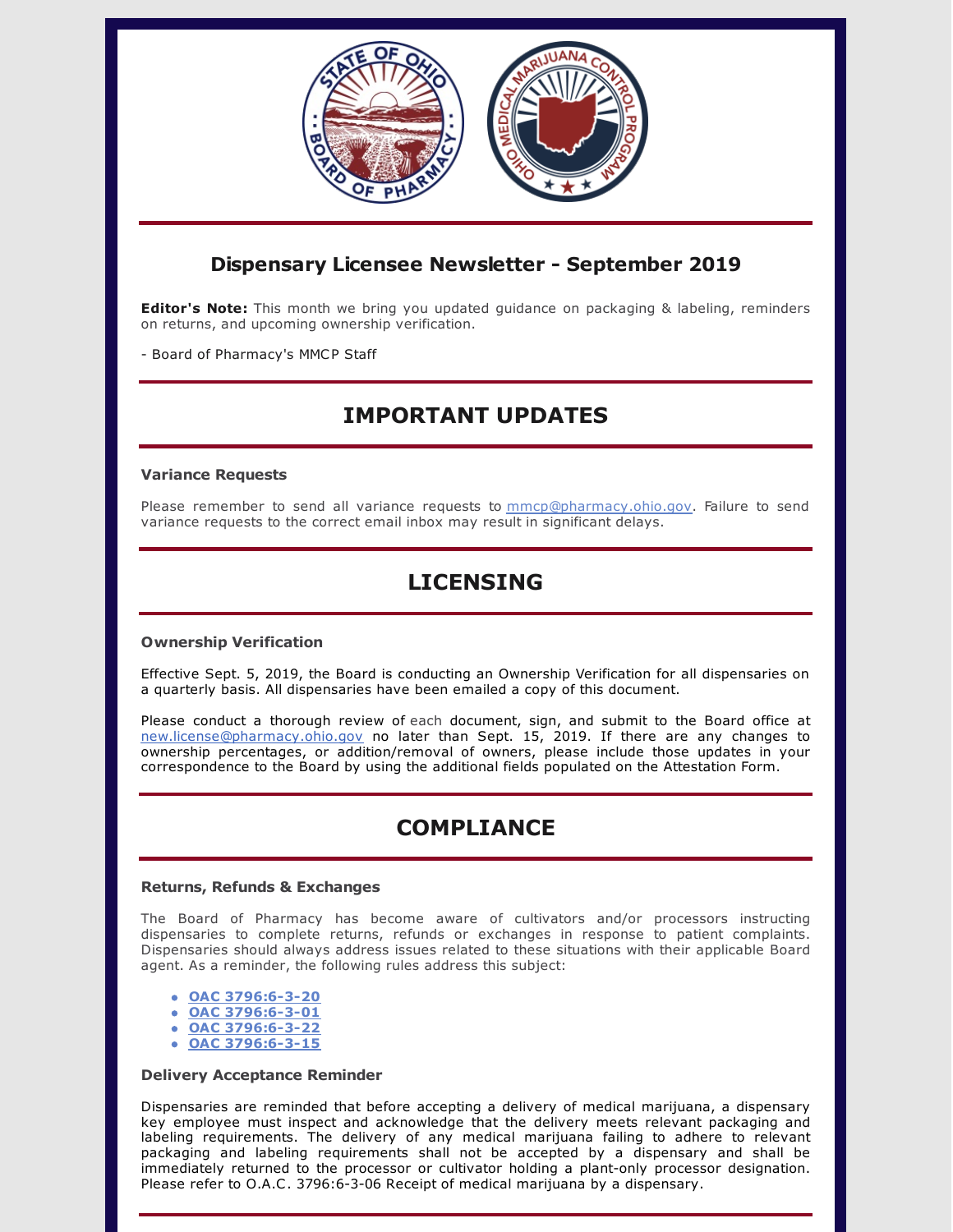

## **Dispensary Licensee Newsletter - September 2019**

**Editor's Note:** This month we bring you updated guidance on packaging & labeling, reminders on returns, and upcoming ownership verification.

- Board of Pharmacy's MMCP Staff

# **IMPORTANT UPDATES**

### **Variance Requests**

Please remember to send all variance requests to mmcp@pharmacy.ohio.gov. Failure to send variance requests to the correct email inbox may result in significant delays.

# **LICENSING**

### **Ownership Verification**

Effective Sept. 5, 2019, the Board is conducting an Ownership Verification for all dispensaries on a quarterly basis. All dispensaries have been emailed a copy of this document.

Please conduct a thorough review of each document, sign, and submit to the Board office at [new.license@pharmacy.ohio.gov](mailto:new.license@pharmacy.ohio.gov) no later than Sept. 15, 2019. If there are any changes to ownership percentages, or addition/removal of owners, please include those updates in your correspondence to the Board by using the additional fields populated on the Attestation Form.

## **COMPLIANCE**

#### **Returns, Refunds & Exchanges**

The Board of Pharmacy has become aware of cultivators and/or processors instructing dispensaries to complete returns, refunds or exchanges in response to patient complaints. Dispensaries should always address issues related to these situations with their applicable Board agent. As a reminder, the following rules address this subject:

- **OAC [3796:6-3-20](http://codes.ohio.gov/oac/3796:6-3-20)**
- **OAC [3796:6-3-01](http://codes.ohio.gov/oac/3796:6-3-01v1)**
- **OAC [3796:6-3-22](http://codes.ohio.gov/oac/3796:6-3-22v1)**
- **OAC [3796:6-3-15](http://codes.ohio.gov/oac/3796:6-3-15v1)**

### **Delivery Acceptance Reminder**

Dispensaries are reminded that before accepting a delivery of medical marijuana, a dispensary key employee must inspect and acknowledge that the delivery meets relevant packaging and labeling requirements. The delivery of any medical marijuana failing to adhere to relevant packaging and labeling requirements shall not be accepted by a dispensary and shall be immediately returned to the processor or cultivator holding a plant-only processor designation. Please refer to O.A.C. 3796:6-3-06 Receipt of medical marijuana by a dispensary.